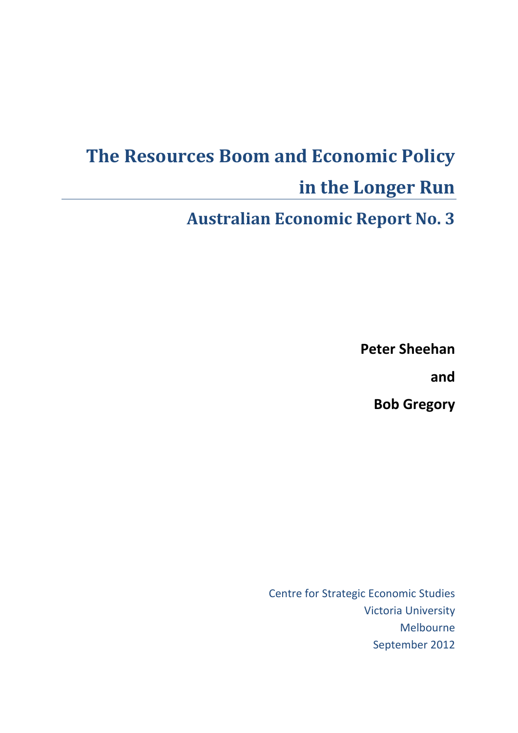# **The Resources Boom and Economic Policy in the Longer Run**

**Australian Economic Report No. 3**

**Peter Sheehan**

**and**

**Bob Gregory**

Centre for Strategic Economic Studies Victoria University Melbourne September 2012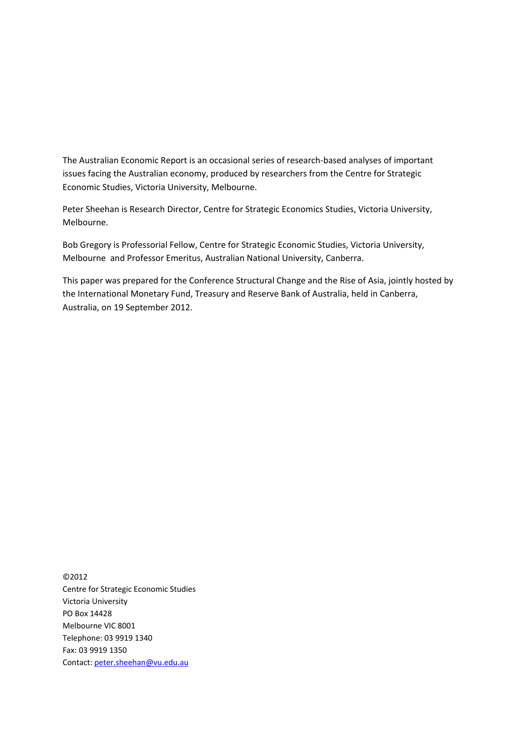The Australian Economic Report is an occasional series of research‐based analyses of important issues facing the Australian economy, produced by researchers from the Centre for Strategic Economic Studies, Victoria University, Melbourne.

Peter Sheehan is Research Director, Centre for Strategic Economics Studies, Victoria University, Melbourne.

Bob Gregory is Professorial Fellow, Centre for Strategic Economic Studies, Victoria University, Melbourne and Professor Emeritus, Australian National University, Canberra.

This paper was prepared for the Conference Structural Change and the Rise of Asia, jointly hosted by the International Monetary Fund, Treasury and Reserve Bank of Australia, held in Canberra, Australia, on 19 September 2012.

©2012 Centre for Strategic Economic Studies Victoria University PO Box 14428 Melbourne VIC 8001 Telephone: 03 9919 1340 Fax: 03 9919 1350 Contact: peter.sheehan@vu.edu.au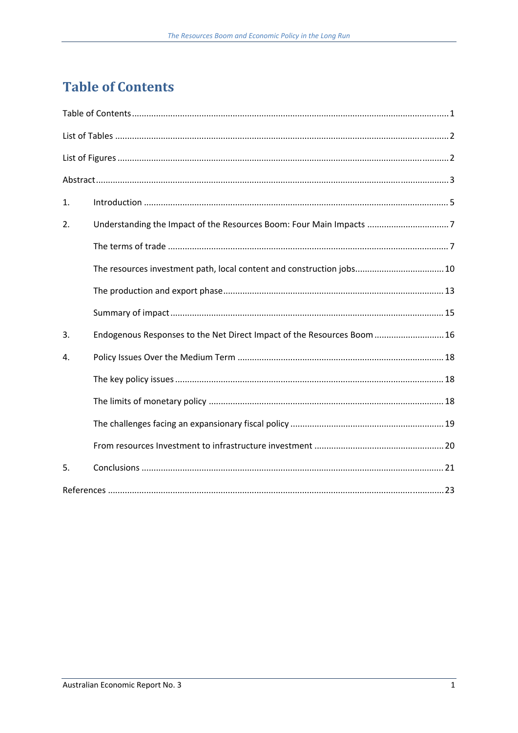# **Table of Contents**

| 1. |                                                                         |  |  |  |  |  |  |
|----|-------------------------------------------------------------------------|--|--|--|--|--|--|
| 2. | Understanding the Impact of the Resources Boom: Four Main Impacts 7     |  |  |  |  |  |  |
|    |                                                                         |  |  |  |  |  |  |
|    | The resources investment path, local content and construction jobs 10   |  |  |  |  |  |  |
|    |                                                                         |  |  |  |  |  |  |
|    |                                                                         |  |  |  |  |  |  |
| 3. | Endogenous Responses to the Net Direct Impact of the Resources Boom  16 |  |  |  |  |  |  |
| 4. |                                                                         |  |  |  |  |  |  |
|    |                                                                         |  |  |  |  |  |  |
|    |                                                                         |  |  |  |  |  |  |
|    |                                                                         |  |  |  |  |  |  |
|    |                                                                         |  |  |  |  |  |  |
| 5. |                                                                         |  |  |  |  |  |  |
|    |                                                                         |  |  |  |  |  |  |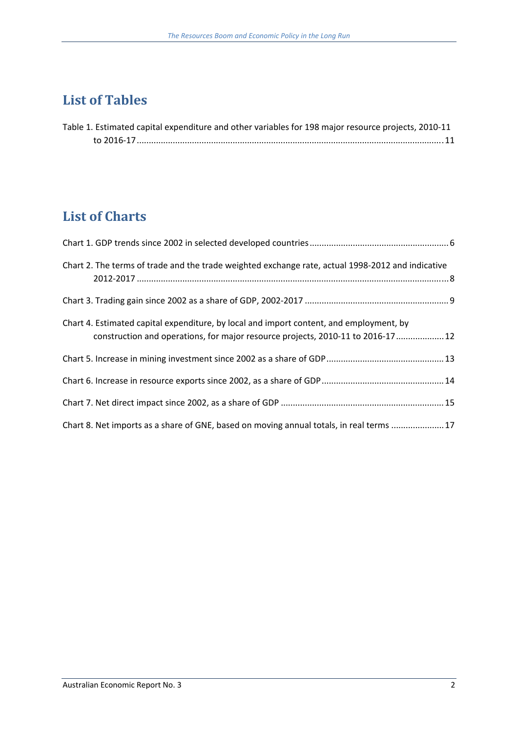# **List of Tables**

| Table 1. Estimated capital expenditure and other variables for 198 major resource projects, 2010-11 |  |
|-----------------------------------------------------------------------------------------------------|--|
|                                                                                                     |  |

# **List of Charts**

| Chart 2. The terms of trade and the trade weighted exchange rate, actual 1998-2012 and indicative                                                                           |  |
|-----------------------------------------------------------------------------------------------------------------------------------------------------------------------------|--|
|                                                                                                                                                                             |  |
| Chart 4. Estimated capital expenditure, by local and import content, and employment, by<br>construction and operations, for major resource projects, 2010-11 to 2016-17  12 |  |
|                                                                                                                                                                             |  |
|                                                                                                                                                                             |  |
|                                                                                                                                                                             |  |
| Chart 8. Net imports as a share of GNE, based on moving annual totals, in real terms  17                                                                                    |  |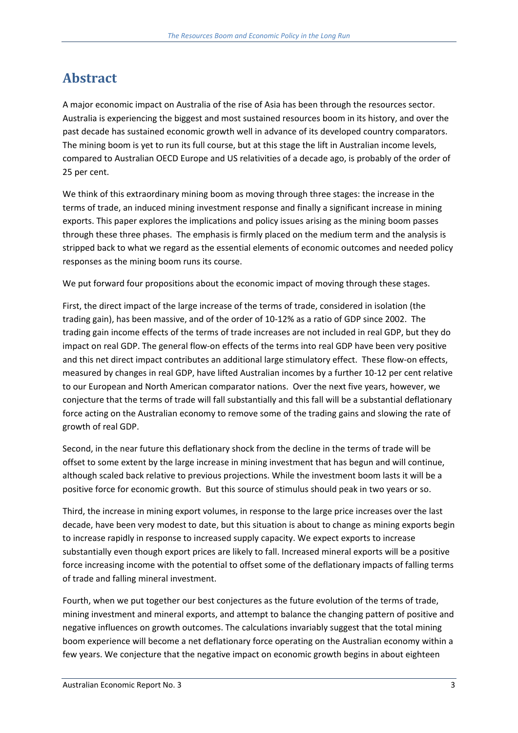## Abstract

A major economic impact on Australia of the rise of Asia has been through the resources sector. Australia is experiencing the biggest and most sustained resources boom in its history, and over the past decade has sustained economic growth well in advance of its developed country comparators. The mining boom is yet to run its full course, but at this stage the lift in Australian income levels, compared to Australian OECD Europe and US relativities of a decade ago, is probably of the order of 25 per cent.

We think of this extraordinary mining boom as moving through three stages: the increase in the terms of trade, an induced mining investment response and finally a significant increase in mining exports. This paper explores the implications and policy issues arising as the mining boom passes through these three phases. The emphasis is firmly placed on the medium term and the analysis is stripped back to what we regard as the essential elements of economic outcomes and needed policy responses as the mining boom runs its course.

We put forward four propositions about the economic impact of moving through these stages.

First, the direct impact of the large increase of the terms of trade, considered in isolation (the trading gain), has been massive, and of the order of 10‐12% as a ratio of GDP since 2002. The trading gain income effects of the terms of trade increases are not included in real GDP, but they do impact on real GDP. The general flow‐on effects of the terms into real GDP have been very positive and this net direct impact contributes an additional large stimulatory effect. These flow-on effects, measured by changes in real GDP, have lifted Australian incomes by a further 10‐12 per cent relative to our European and North American comparator nations. Over the next five years, however, we conjecture that the terms of trade will fall substantially and this fall will be a substantial deflationary force acting on the Australian economy to remove some of the trading gains and slowing the rate of growth of real GDP.

Second, in the near future this deflationary shock from the decline in the terms of trade will be offset to some extent by the large increase in mining investment that has begun and will continue, although scaled back relative to previous projections. While the investment boom lasts it will be a positive force for economic growth. But this source of stimulus should peak in two years or so.

Third, the increase in mining export volumes, in response to the large price increases over the last decade, have been very modest to date, but this situation is about to change as mining exports begin to increase rapidly in response to increased supply capacity. We expect exports to increase substantially even though export prices are likely to fall. Increased mineral exports will be a positive force increasing income with the potential to offset some of the deflationary impacts of falling terms of trade and falling mineral investment.

Fourth, when we put together our best conjectures as the future evolution of the terms of trade, mining investment and mineral exports, and attempt to balance the changing pattern of positive and negative influences on growth outcomes. The calculations invariably suggest that the total mining boom experience will become a net deflationary force operating on the Australian economy within a few years. We conjecture that the negative impact on economic growth begins in about eighteen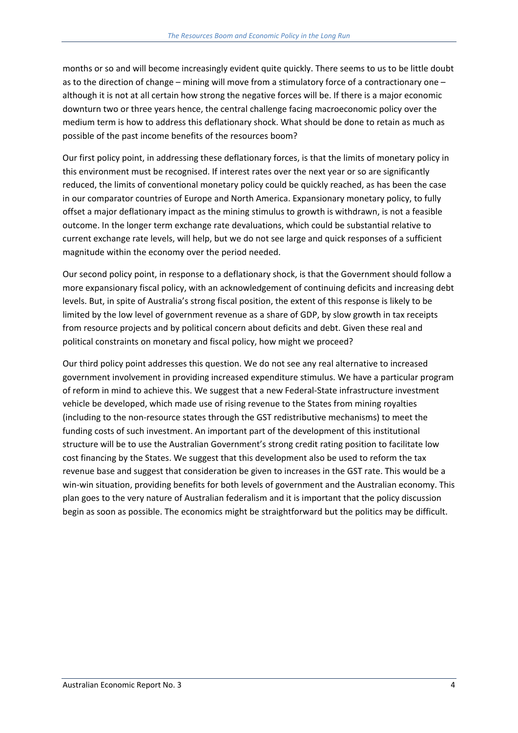months or so and will become increasingly evident quite quickly. There seems to us to be little doubt as to the direction of change – mining will move from a stimulatory force of a contractionary one – although it is not at all certain how strong the negative forces will be. If there is a major economic downturn two or three years hence, the central challenge facing macroeconomic policy over the medium term is how to address this deflationary shock. What should be done to retain as much as possible of the past income benefits of the resources boom?

Our first policy point, in addressing these deflationary forces, is that the limits of monetary policy in this environment must be recognised. If interest rates over the next year or so are significantly reduced, the limits of conventional monetary policy could be quickly reached, as has been the case in our comparator countries of Europe and North America. Expansionary monetary policy, to fully offset a major deflationary impact as the mining stimulus to growth is withdrawn, is not a feasible outcome. In the longer term exchange rate devaluations, which could be substantial relative to current exchange rate levels, will help, but we do not see large and quick responses of a sufficient magnitude within the economy over the period needed.

Our second policy point, in response to a deflationary shock, is that the Government should follow a more expansionary fiscal policy, with an acknowledgement of continuing deficits and increasing debt levels. But, in spite of Australia's strong fiscal position, the extent of this response is likely to be limited by the low level of government revenue as a share of GDP, by slow growth in tax receipts from resource projects and by political concern about deficits and debt. Given these real and political constraints on monetary and fiscal policy, how might we proceed?

Our third policy point addresses this question. We do not see any real alternative to increased government involvement in providing increased expenditure stimulus. We have a particular program of reform in mind to achieve this. We suggest that a new Federal‐State infrastructure investment vehicle be developed, which made use of rising revenue to the States from mining royalties (including to the non‐resource states through the GST redistributive mechanisms) to meet the funding costs of such investment. An important part of the development of this institutional structure will be to use the Australian Government's strong credit rating position to facilitate low cost financing by the States. We suggest that this development also be used to reform the tax revenue base and suggest that consideration be given to increases in the GST rate. This would be a win-win situation, providing benefits for both levels of government and the Australian economy. This plan goes to the very nature of Australian federalism and it is important that the policy discussion begin as soon as possible. The economics might be straightforward but the politics may be difficult.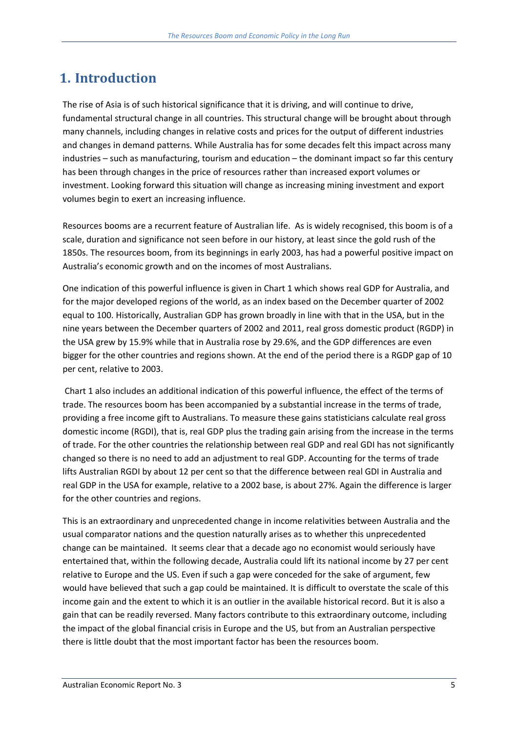# **1. Introduction**

The rise of Asia is of such historical significance that it is driving, and will continue to drive, fundamental structural change in all countries. This structural change will be brought about through many channels, including changes in relative costs and prices for the output of different industries and changes in demand patterns. While Australia has for some decades felt this impact across many industries – such as manufacturing, tourism and education – the dominant impact so far this century has been through changes in the price of resources rather than increased export volumes or investment. Looking forward this situation will change as increasing mining investment and export volumes begin to exert an increasing influence.

Resources booms are a recurrent feature of Australian life. As is widely recognised, this boom is of a scale, duration and significance not seen before in our history, at least since the gold rush of the 1850s. The resources boom, from its beginnings in early 2003, has had a powerful positive impact on Australia's economic growth and on the incomes of most Australians.

One indication of this powerful influence is given in Chart 1 which shows real GDP for Australia, and for the major developed regions of the world, as an index based on the December quarter of 2002 equal to 100. Historically, Australian GDP has grown broadly in line with that in the USA, but in the nine years between the December quarters of 2002 and 2011, real gross domestic product (RGDP) in the USA grew by 15.9% while that in Australia rose by 29.6%, and the GDP differences are even bigger for the other countries and regions shown. At the end of the period there is a RGDP gap of 10 per cent, relative to 2003.

Chart 1 also includes an additional indication of this powerful influence, the effect of the terms of trade. The resources boom has been accompanied by a substantial increase in the terms of trade, providing a free income gift to Australians. To measure these gains statisticians calculate real gross domestic income (RGDI), that is, real GDP plus the trading gain arising from the increase in the terms of trade. For the other countries the relationship between real GDP and real GDI has not significantly changed so there is no need to add an adjustment to real GDP. Accounting for the terms of trade lifts Australian RGDI by about 12 per cent so that the difference between real GDI in Australia and real GDP in the USA for example, relative to a 2002 base, is about 27%. Again the difference is larger for the other countries and regions.

This is an extraordinary and unprecedented change in income relativities between Australia and the usual comparator nations and the question naturally arises as to whether this unprecedented change can be maintained. It seems clear that a decade ago no economist would seriously have entertained that, within the following decade, Australia could lift its national income by 27 per cent relative to Europe and the US. Even if such a gap were conceded for the sake of argument, few would have believed that such a gap could be maintained. It is difficult to overstate the scale of this income gain and the extent to which it is an outlier in the available historical record. But it is also a gain that can be readily reversed. Many factors contribute to this extraordinary outcome, including the impact of the global financial crisis in Europe and the US, but from an Australian perspective there is little doubt that the most important factor has been the resources boom.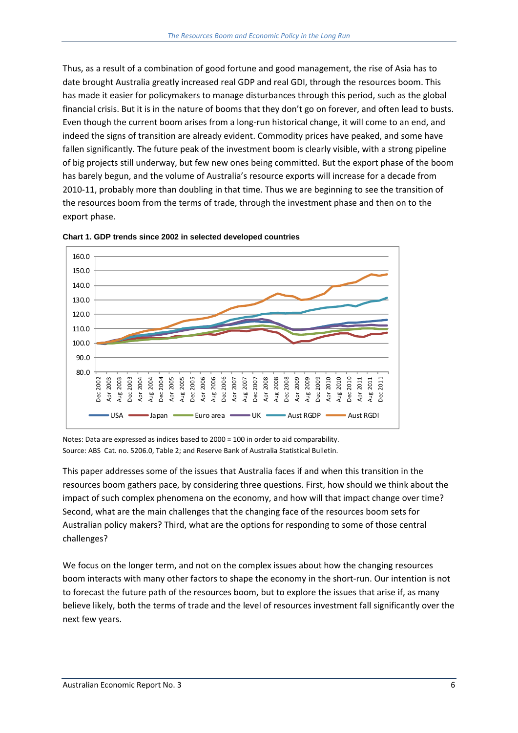Thus, as a result of a combination of good fortune and good management, the rise of Asia has to date brought Australia greatly increased real GDP and real GDI, through the resources boom. This has made it easier for policymakers to manage disturbances through this period, such as the global financial crisis. But it is in the nature of booms that they don't go on forever, and often lead to busts. Even though the current boom arises from a long‐run historical change, it will come to an end, and indeed the signs of transition are already evident. Commodity prices have peaked, and some have fallen significantly. The future peak of the investment boom is clearly visible, with a strong pipeline of big projects still underway, but few new ones being committed. But the export phase of the boom has barely begun, and the volume of Australia's resource exports will increase for a decade from 2010-11, probably more than doubling in that time. Thus we are beginning to see the transition of the resources boom from the terms of trade, through the investment phase and then on to the export phase.





Notes: Data are expressed as indices based to 2000 = 100 in order to aid comparability. Source: ABS Cat. no. 5206.0, Table 2; and Reserve Bank of Australia Statistical Bulletin.

This paper addresses some of the issues that Australia faces if and when this transition in the resources boom gathers pace, by considering three questions. First, how should we think about the impact of such complex phenomena on the economy, and how will that impact change over time? Second, what are the main challenges that the changing face of the resources boom sets for Australian policy makers? Third, what are the options for responding to some of those central challenges?

We focus on the longer term, and not on the complex issues about how the changing resources boom interacts with many other factors to shape the economy in the short-run. Our intention is not to forecast the future path of the resources boom, but to explore the issues that arise if, as many believe likely, both the terms of trade and the level of resources investment fall significantly over the next few years.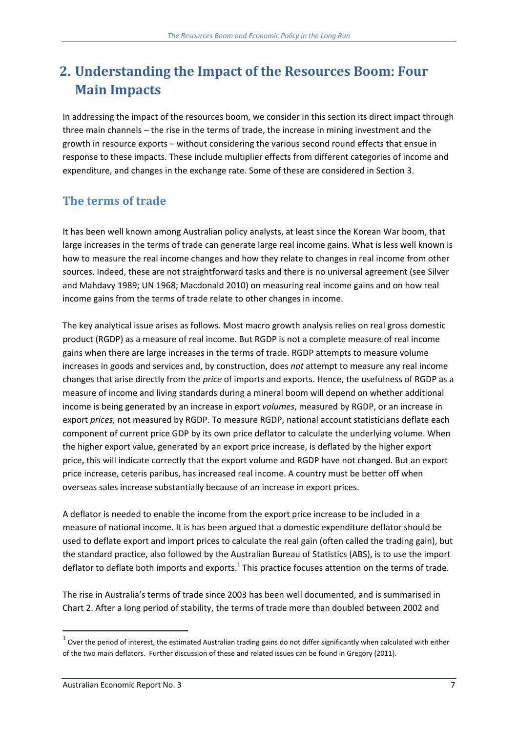# **2. Understanding the Impact of the Resources Boom: Four Main Impacts**

In addressing the impact of the resources boom, we consider in this section its direct impact through three main channels – the rise in the terms of trade, the increase in mining investment and the growth in resource exports – without considering the various second round effects that ensue in response to these impacts. These include multiplier effects from different categories of income and expenditure, and changes in the exchange rate. Some of these are considered in Section 3.

### **The terms of trade**

It has been well known among Australian policy analysts, at least since the Korean War boom, that large increases in the terms of trade can generate large real income gains. What is less well known is how to measure the real income changes and how they relate to changes in real income from other sources. Indeed, these are not straightforward tasks and there is no universal agreement (see Silver and Mahdavy 1989; UN 1968; Macdonald 2010) on measuring real income gains and on how real income gains from the terms of trade relate to other changes in income.

The key analytical issue arises as follows. Most macro growth analysis relies on real gross domestic product (RGDP) as a measure of real income. But RGDP is not a complete measure of real income gains when there are large increases in the terms of trade. RGDP attempts to measure volume increases in goods and services and, by construction, does *not* attempt to measure any real income changes that arise directly from the *price* of imports and exports. Hence, the usefulness of RGDP as a measure of income and living standards during a mineral boom will depend on whether additional income is being generated by an increase in export *volumes*, measured by RGDP, or an increase in export *prices,* not measured by RGDP. To measure RGDP, national account statisticians deflate each component of current price GDP by its own price deflator to calculate the underlying volume. When the higher export value, generated by an export price increase, is deflated by the higher export price, this will indicate correctly that the export volume and RGDP have not changed. But an export price increase, ceteris paribus, has increased real income. A country must be better off when overseas sales increase substantially because of an increase in export prices.

A deflator is needed to enable the income from the export price increase to be included in a measure of national income. It is has been argued that a domestic expenditure deflator should be used to deflate export and import prices to calculate the real gain (often called the trading gain), but the standard practice, also followed by the Australian Bureau of Statistics (ABS), is to use the import deflator to deflate both imports and exports.<sup>1</sup> This practice focuses attention on the terms of trade.

The rise in Australia's terms of trade since 2003 has been well documented, and is summarised in Chart 2. After a long period of stability, the terms of trade more than doubled between 2002 and

 $1$  Over the period of interest, the estimated Australian trading gains do not differ significantly when calculated with either of the two main deflators. Further discussion of these and related issues can be found in Gregory (2011).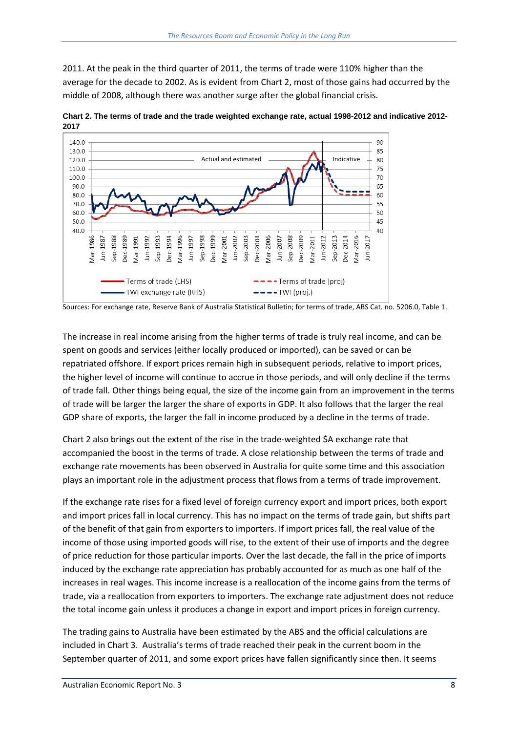2011. At the peak in the third quarter of 2011, the terms of trade were 110% higher than the average for the decade to 2002. As is evident from Chart 2, most of those gains had occurred by the middle of 2008, although there was another surge after the global financial crisis.



**Chart 2. The terms of trade and the trade weighted exchange rate, actual 1998-2012 and indicative 2012- 2017**

Sources: For exchange rate, Reserve Bank of Australia Statistical Bulletin; for terms of trade, ABS Cat. no. 5206.0, Table 1.

The increase in real income arising from the higher terms of trade is truly real income, and can be spent on goods and services (either locally produced or imported), can be saved or can be repatriated offshore. If export prices remain high in subsequent periods, relative to import prices, the higher level of income will continue to accrue in those periods, and will only decline if the terms of trade fall. Other things being equal, the size of the income gain from an improvement in the terms of trade will be larger the larger the share of exports in GDP. It also follows that the larger the real GDP share of exports, the larger the fall in income produced by a decline in the terms of trade.

Chart 2 also brings out the extent of the rise in the trade‐weighted \$A exchange rate that accompanied the boost in the terms of trade. A close relationship between the terms of trade and exchange rate movements has been observed in Australia for quite some time and this association plays an important role in the adjustment process that flows from a terms of trade improvement.

If the exchange rate rises for a fixed level of foreign currency export and import prices, both export and import prices fall in local currency. This has no impact on the terms of trade gain, but shifts part of the benefit of that gain from exporters to importers. If import prices fall, the real value of the income of those using imported goods will rise, to the extent of their use of imports and the degree of price reduction for those particular imports. Over the last decade, the fall in the price of imports induced by the exchange rate appreciation has probably accounted for as much as one half of the increases in real wages. This income increase is a reallocation of the income gains from the terms of trade, via a reallocation from exporters to importers. The exchange rate adjustment does not reduce the total income gain unless it produces a change in export and import prices in foreign currency.

The trading gains to Australia have been estimated by the ABS and the official calculations are included in Chart 3. Australia's terms of trade reached their peak in the current boom in the September quarter of 2011, and some export prices have fallen significantly since then. It seems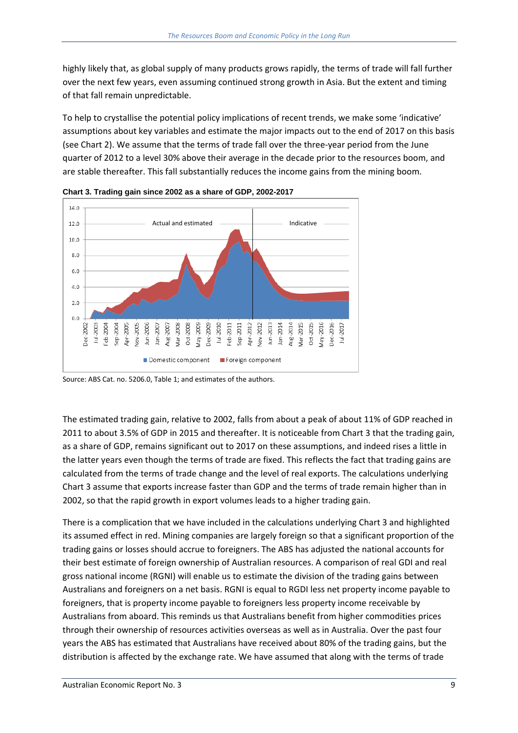highly likely that, as global supply of many products grows rapidly, the terms of trade will fall further over the next few years, even assuming continued strong growth in Asia. But the extent and timing of that fall remain unpredictable.

To help to crystallise the potential policy implications of recent trends, we make some 'indicative' assumptions about key variables and estimate the major impacts out to the end of 2017 on this basis (see Chart 2). We assume that the terms of trade fall over the three‐year period from the June quarter of 2012 to a level 30% above their average in the decade prior to the resources boom, and are stable thereafter. This fall substantially reduces the income gains from the mining boom.



**Chart 3. Trading gain since 2002 as a share of GDP, 2002-2017** 

The estimated trading gain, relative to 2002, falls from about a peak of about 11% of GDP reached in 2011 to about 3.5% of GDP in 2015 and thereafter. It is noticeable from Chart 3 that the trading gain, as a share of GDP, remains significant out to 2017 on these assumptions, and indeed rises a little in the latter years even though the terms of trade are fixed. This reflects the fact that trading gains are calculated from the terms of trade change and the level of real exports. The calculations underlying Chart 3 assume that exports increase faster than GDP and the terms of trade remain higher than in 2002, so that the rapid growth in export volumes leads to a higher trading gain.

There is a complication that we have included in the calculations underlying Chart 3 and highlighted its assumed effect in red. Mining companies are largely foreign so that a significant proportion of the trading gains or losses should accrue to foreigners. The ABS has adjusted the national accounts for their best estimate of foreign ownership of Australian resources. A comparison of real GDI and real gross national income (RGNI) will enable us to estimate the division of the trading gains between Australians and foreigners on a net basis. RGNI is equal to RGDI less net property income payable to foreigners, that is property income payable to foreigners less property income receivable by Australians from aboard. This reminds us that Australians benefit from higher commodities prices through their ownership of resources activities overseas as well as in Australia. Over the past four years the ABS has estimated that Australians have received about 80% of the trading gains, but the distribution is affected by the exchange rate. We have assumed that along with the terms of trade

Source: ABS Cat. no. 5206.0, Table 1; and estimates of the authors.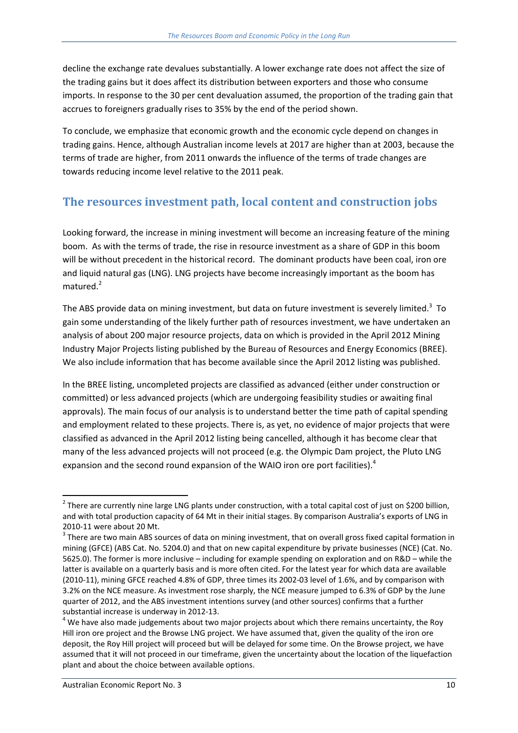decline the exchange rate devalues substantially. A lower exchange rate does not affect the size of the trading gains but it does affect its distribution between exporters and those who consume imports. In response to the 30 per cent devaluation assumed, the proportion of the trading gain that accrues to foreigners gradually rises to 35% by the end of the period shown.

To conclude, we emphasize that economic growth and the economic cycle depend on changes in trading gains. Hence, although Australian income levels at 2017 are higher than at 2003, because the terms of trade are higher, from 2011 onwards the influence of the terms of trade changes are towards reducing income level relative to the 2011 peak.

#### **The resources investment path, local content and construction jobs**

Looking forward, the increase in mining investment will become an increasing feature of the mining boom. As with the terms of trade, the rise in resource investment as a share of GDP in this boom will be without precedent in the historical record. The dominant products have been coal, iron ore and liquid natural gas (LNG). LNG projects have become increasingly important as the boom has matured.<sup>2</sup>

The ABS provide data on mining investment, but data on future investment is severely limited.<sup>3</sup> To gain some understanding of the likely further path of resources investment, we have undertaken an analysis of about 200 major resource projects, data on which is provided in the April 2012 Mining Industry Major Projects listing published by the Bureau of Resources and Energy Economics (BREE). We also include information that has become available since the April 2012 listing was published.

In the BREE listing, uncompleted projects are classified as advanced (either under construction or committed) or less advanced projects (which are undergoing feasibility studies or awaiting final approvals). The main focus of our analysis is to understand better the time path of capital spending and employment related to these projects. There is, as yet, no evidence of major projects that were classified as advanced in the April 2012 listing being cancelled, although it has become clear that many of the less advanced projects will not proceed (e.g. the Olympic Dam project, the Pluto LNG expansion and the second round expansion of the WAIO iron ore port facilities).<sup>4</sup>

  $^2$  There are currently nine large LNG plants under construction, with a total capital cost of just on \$200 billion, and with total production capacity of 64 Mt in their initial stages. By comparison Australia's exports of LNG in

<sup>2010-11</sup> were about 20 Mt.<br> $3$  There are two main ABS sources of data on mining investment, that on overall gross fixed capital formation in mining (GFCE) (ABS Cat. No. 5204.0) and that on new capital expenditure by private businesses (NCE) (Cat. No. 5625.0). The former is more inclusive – including for example spending on exploration and on R&D – while the latter is available on a quarterly basis and is more often cited. For the latest year for which data are available (2010‐11), mining GFCE reached 4.8% of GDP, three times its 2002‐03 level of 1.6%, and by comparison with 3.2% on the NCE measure. As investment rose sharply, the NCE measure jumped to 6.3% of GDP by the June quarter of 2012, and the ABS investment intentions survey (and other sources) confirms that a further substantial increase is underway in 2012-13.<br><sup>4</sup> We have also made judgements about two major projects about which there remains uncertainty, the Roy

Hill iron ore project and the Browse LNG project. We have assumed that, given the quality of the iron ore deposit, the Roy Hill project will proceed but will be delayed for some time. On the Browse project, we have assumed that it will not proceed in our timeframe, given the uncertainty about the location of the liquefaction plant and about the choice between available options.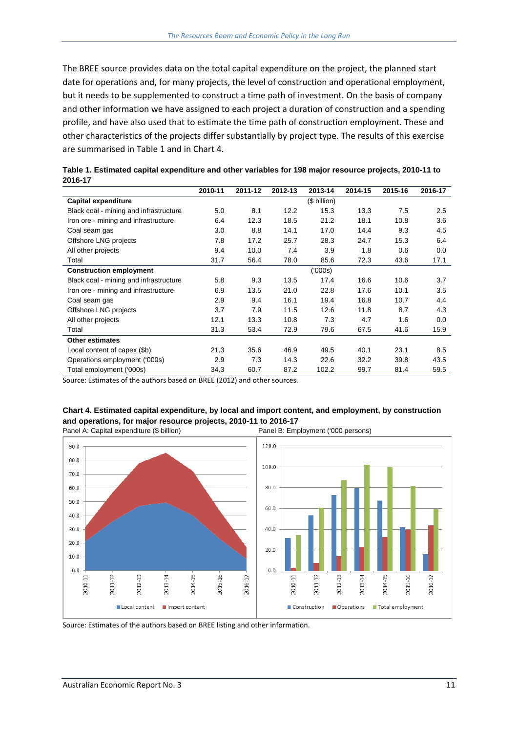The BREE source provides data on the total capital expenditure on the project, the planned start date for operations and, for many projects, the level of construction and operational employment, but it needs to be supplemented to construct a time path of investment. On the basis of company and other information we have assigned to each project a duration of construction and a spending profile, and have also used that to estimate the time path of construction employment. These and other characteristics of the projects differ substantially by project type. The results of this exercise are summarised in Table 1 and in Chart 4.

| 60 I V I I                             |         |         |         |              |         |         |         |
|----------------------------------------|---------|---------|---------|--------------|---------|---------|---------|
|                                        | 2010-11 | 2011-12 | 2012-13 | 2013-14      | 2014-15 | 2015-16 | 2016-17 |
| <b>Capital expenditure</b>             |         |         |         | (\$ billion) |         |         |         |
| Black coal - mining and infrastructure | 5.0     | 8.1     | 12.2    | 15.3         | 13.3    | 7.5     | 2.5     |
| Iron ore - mining and infrastructure   | 6.4     | 12.3    | 18.5    | 21.2         | 18.1    | 10.8    | 3.6     |
| Coal seam gas                          | 3.0     | 8.8     | 14.1    | 17.0         | 14.4    | 9.3     | 4.5     |
| Offshore LNG projects                  | 7.8     | 17.2    | 25.7    | 28.3         | 24.7    | 15.3    | 6.4     |
| All other projects                     | 9.4     | 10.0    | 7.4     | 3.9          | 1.8     | 0.6     | 0.0     |
| Total                                  | 31.7    | 56.4    | 78.0    | 85.6         | 72.3    | 43.6    | 17.1    |
| <b>Construction employment</b>         |         |         |         | (000s)       |         |         |         |
| Black coal - mining and infrastructure | 5.8     | 9.3     | 13.5    | 17.4         | 16.6    | 10.6    | 3.7     |
| Iron ore - mining and infrastructure   | 6.9     | 13.5    | 21.0    | 22.8         | 17.6    | 10.1    | 3.5     |
| Coal seam gas                          | 2.9     | 9.4     | 16.1    | 19.4         | 16.8    | 10.7    | 4.4     |
| Offshore LNG projects                  | 3.7     | 7.9     | 11.5    | 12.6         | 11.8    | 8.7     | 4.3     |
| All other projects                     | 12.1    | 13.3    | 10.8    | 7.3          | 4.7     | 1.6     | 0.0     |
| Total                                  | 31.3    | 53.4    | 72.9    | 79.6         | 67.5    | 41.6    | 15.9    |
| <b>Other estimates</b>                 |         |         |         |              |         |         |         |
| Local content of capex (\$b)           | 21.3    | 35.6    | 46.9    | 49.5         | 40.1    | 23.1    | 8.5     |
| Operations employment ('000s)          | 2.9     | 7.3     | 14.3    | 22.6         | 32.2    | 39.8    | 43.5    |
| Total employment ('000s)               | 34.3    | 60.7    | 87.2    | 102.2        | 99.7    | 81.4    | 59.5    |

**Table 1. Estimated capital expenditure and other variables for 198 major resource projects, 2010-11 to 2016-17** 

Source: Estimates of the authors based on BREE (2012) and other sources.







Source: Estimates of the authors based on BREE listing and other information.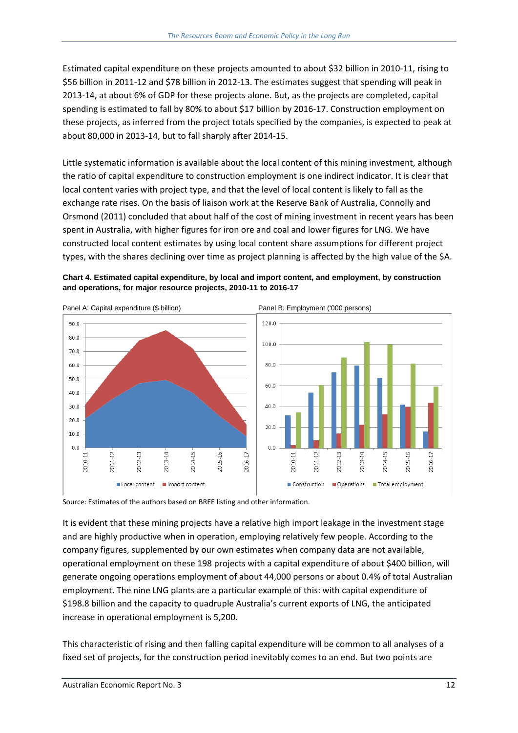Estimated capital expenditure on these projects amounted to about \$32 billion in 2010‐11, rising to \$56 billion in 2011‐12 and \$78 billion in 2012‐13. The estimates suggest that spending will peak in 2013‐14, at about 6% of GDP for these projects alone. But, as the projects are completed, capital spending is estimated to fall by 80% to about \$17 billion by 2016‐17. Construction employment on these projects, as inferred from the project totals specified by the companies, is expected to peak at about 80,000 in 2013‐14, but to fall sharply after 2014‐15.

Little systematic information is available about the local content of this mining investment, although the ratio of capital expenditure to construction employment is one indirect indicator. It is clear that local content varies with project type, and that the level of local content is likely to fall as the exchange rate rises. On the basis of liaison work at the Reserve Bank of Australia, Connolly and Orsmond (2011) concluded that about half of the cost of mining investment in recent years has been spent in Australia, with higher figures for iron ore and coal and lower figures for LNG. We have constructed local content estimates by using local content share assumptions for different project types, with the shares declining over time as project planning is affected by the high value of the \$A.

**Chart 4. Estimated capital expenditure, by local and import content, and employment, by construction and operations, for major resource projects, 2010-11 to 2016-17** 



Source: Estimates of the authors based on BREE listing and other information.

It is evident that these mining projects have a relative high import leakage in the investment stage and are highly productive when in operation, employing relatively few people. According to the company figures, supplemented by our own estimates when company data are not available, operational employment on these 198 projects with a capital expenditure of about \$400 billion, will generate ongoing operations employment of about 44,000 persons or about 0.4% of total Australian employment. The nine LNG plants are a particular example of this: with capital expenditure of \$198.8 billion and the capacity to quadruple Australia's current exports of LNG, the anticipated increase in operational employment is 5,200.

This characteristic of rising and then falling capital expenditure will be common to all analyses of a fixed set of projects, for the construction period inevitably comes to an end. But two points are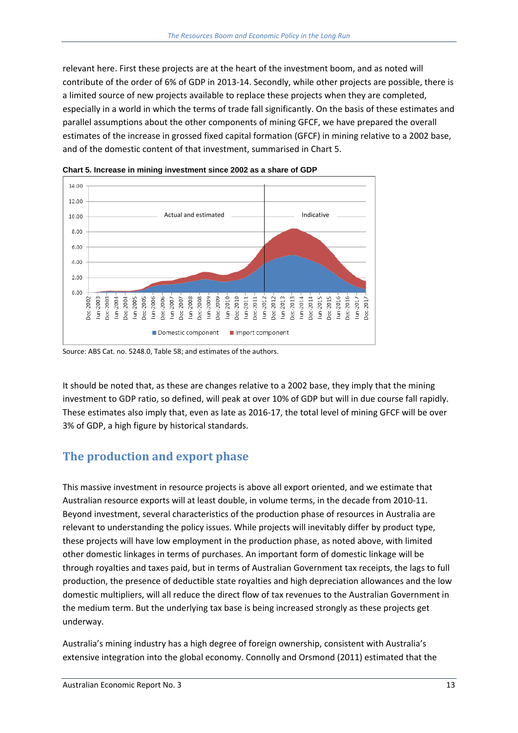relevant here. First these projects are at the heart of the investment boom, and as noted will contribute of the order of 6% of GDP in 2013‐14. Secondly, while other projects are possible, there is a limited source of new projects available to replace these projects when they are completed, especially in a world in which the terms of trade fall significantly. On the basis of these estimates and parallel assumptions about the other components of mining GFCF, we have prepared the overall estimates of the increase in grossed fixed capital formation (GFCF) in mining relative to a 2002 base, and of the domestic content of that investment, summarised in Chart 5.



**Chart 5. Increase in mining investment since 2002 as a share of GDP** 

It should be noted that, as these are changes relative to a 2002 base, they imply that the mining investment to GDP ratio, so defined, will peak at over 10% of GDP but will in due course fall rapidly. These estimates also imply that, even as late as 2016‐17, the total level of mining GFCF will be over 3% of GDP, a high figure by historical standards.

#### **The production and export phase**

This massive investment in resource projects is above all export oriented, and we estimate that Australian resource exports will at least double, in volume terms, in the decade from 2010‐11. Beyond investment, several characteristics of the production phase of resources in Australia are relevant to understanding the policy issues. While projects will inevitably differ by product type, these projects will have low employment in the production phase, as noted above, with limited other domestic linkages in terms of purchases. An important form of domestic linkage will be through royalties and taxes paid, but in terms of Australian Government tax receipts, the lags to full production, the presence of deductible state royalties and high depreciation allowances and the low domestic multipliers, will all reduce the direct flow of tax revenues to the Australian Government in the medium term. But the underlying tax base is being increased strongly as these projects get underway.

Australia's mining industry has a high degree of foreign ownership, consistent with Australia's extensive integration into the global economy. Connolly and Orsmond (2011) estimated that the

Source: ABS Cat. no. 5248.0, Table 58; and estimates of the authors.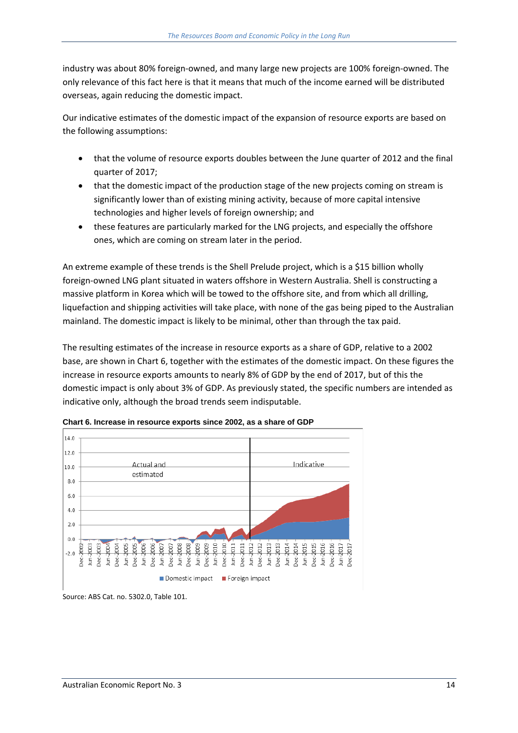industry was about 80% foreign‐owned, and many large new projects are 100% foreign‐owned. The only relevance of this fact here is that it means that much of the income earned will be distributed overseas, again reducing the domestic impact.

Our indicative estimates of the domestic impact of the expansion of resource exports are based on the following assumptions:

- that the volume of resource exports doubles between the June quarter of 2012 and the final quarter of 2017;
- that the domestic impact of the production stage of the new projects coming on stream is significantly lower than of existing mining activity, because of more capital intensive technologies and higher levels of foreign ownership; and
- these features are particularly marked for the LNG projects, and especially the offshore ones, which are coming on stream later in the period.

An extreme example of these trends is the Shell Prelude project, which is a \$15 billion wholly foreign-owned LNG plant situated in waters offshore in Western Australia. Shell is constructing a massive platform in Korea which will be towed to the offshore site, and from which all drilling, liquefaction and shipping activities will take place, with none of the gas being piped to the Australian mainland. The domestic impact is likely to be minimal, other than through the tax paid.

The resulting estimates of the increase in resource exports as a share of GDP, relative to a 2002 base, are shown in Chart 6, together with the estimates of the domestic impact. On these figures the increase in resource exports amounts to nearly 8% of GDP by the end of 2017, but of this the domestic impact is only about 3% of GDP. As previously stated, the specific numbers are intended as indicative only, although the broad trends seem indisputable.



**Chart 6. Increase in resource exports since 2002, as a share of GDP** 

Source: ABS Cat. no. 5302.0, Table 101.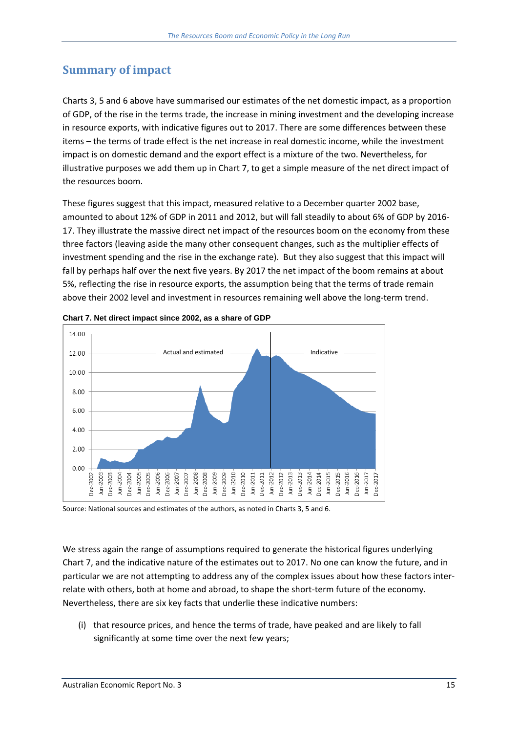## **Summary of impact**

Charts 3, 5 and 6 above have summarised our estimates of the net domestic impact, as a proportion of GDP, of the rise in the terms trade, the increase in mining investment and the developing increase in resource exports, with indicative figures out to 2017. There are some differences between these items – the terms of trade effect is the net increase in real domestic income, while the investment impact is on domestic demand and the export effect is a mixture of the two. Nevertheless, for illustrative purposes we add them up in Chart 7, to get a simple measure of the net direct impact of the resources boom.

These figures suggest that this impact, measured relative to a December quarter 2002 base, amounted to about 12% of GDP in 2011 and 2012, but will fall steadily to about 6% of GDP by 2016‐ 17. They illustrate the massive direct net impact of the resources boom on the economy from these three factors (leaving aside the many other consequent changes, such as the multiplier effects of investment spending and the rise in the exchange rate). But they also suggest that this impact will fall by perhaps half over the next five years. By 2017 the net impact of the boom remains at about 5%, reflecting the rise in resource exports, the assumption being that the terms of trade remain above their 2002 level and investment in resources remaining well above the long-term trend.





Source: National sources and estimates of the authors, as noted in Charts 3, 5 and 6.

We stress again the range of assumptions required to generate the historical figures underlying Chart 7, and the indicative nature of the estimates out to 2017. No one can know the future, and in particular we are not attempting to address any of the complex issues about how these factors inter‐ relate with others, both at home and abroad, to shape the short-term future of the economy. Nevertheless, there are six key facts that underlie these indicative numbers:

(i) that resource prices, and hence the terms of trade, have peaked and are likely to fall significantly at some time over the next few years;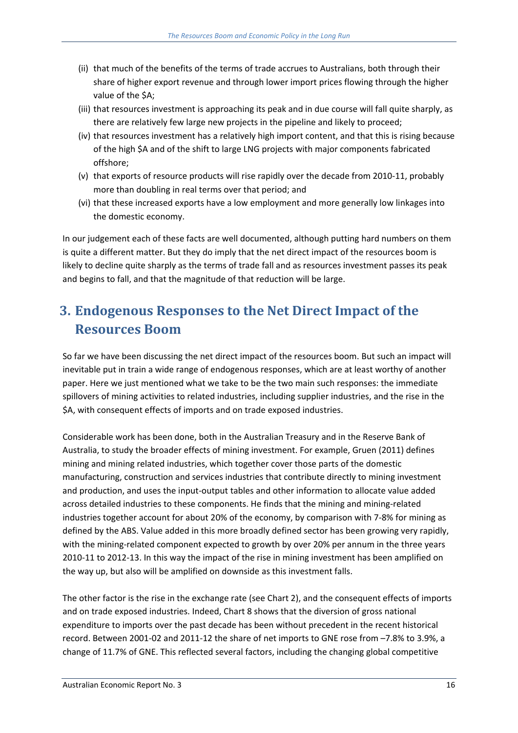- (ii) that much of the benefits of the terms of trade accrues to Australians, both through their share of higher export revenue and through lower import prices flowing through the higher value of the \$A;
- (iii) that resources investment is approaching its peak and in due course will fall quite sharply, as there are relatively few large new projects in the pipeline and likely to proceed;
- (iv) that resources investment has a relatively high import content, and that this is rising because of the high \$A and of the shift to large LNG projects with major components fabricated offshore;
- (v) that exports of resource products will rise rapidly over the decade from 2010‐11, probably more than doubling in real terms over that period; and
- (vi) that these increased exports have a low employment and more generally low linkages into the domestic economy.

In our judgement each of these facts are well documented, although putting hard numbers on them is quite a different matter. But they do imply that the net direct impact of the resources boom is likely to decline quite sharply as the terms of trade fall and as resources investment passes its peak and begins to fall, and that the magnitude of that reduction will be large.

# **3. Endogenous Responses to the Net Direct Impact of the Resources Boom**

So far we have been discussing the net direct impact of the resources boom. But such an impact will inevitable put in train a wide range of endogenous responses, which are at least worthy of another paper. Here we just mentioned what we take to be the two main such responses: the immediate spillovers of mining activities to related industries, including supplier industries, and the rise in the \$A, with consequent effects of imports and on trade exposed industries.

Considerable work has been done, both in the Australian Treasury and in the Reserve Bank of Australia, to study the broader effects of mining investment. For example, Gruen (2011) defines mining and mining related industries, which together cover those parts of the domestic manufacturing, construction and services industries that contribute directly to mining investment and production, and uses the input-output tables and other information to allocate value added across detailed industries to these components. He finds that the mining and mining‐related industries together account for about 20% of the economy, by comparison with 7‐8% for mining as defined by the ABS. Value added in this more broadly defined sector has been growing very rapidly, with the mining-related component expected to growth by over 20% per annum in the three years 2010‐11 to 2012‐13. In this way the impact of the rise in mining investment has been amplified on the way up, but also will be amplified on downside as this investment falls.

The other factor is the rise in the exchange rate (see Chart 2), and the consequent effects of imports and on trade exposed industries. Indeed, Chart 8 shows that the diversion of gross national expenditure to imports over the past decade has been without precedent in the recent historical record. Between 2001‐02 and 2011‐12 the share of net imports to GNE rose from –7.8% to 3.9%, a change of 11.7% of GNE. This reflected several factors, including the changing global competitive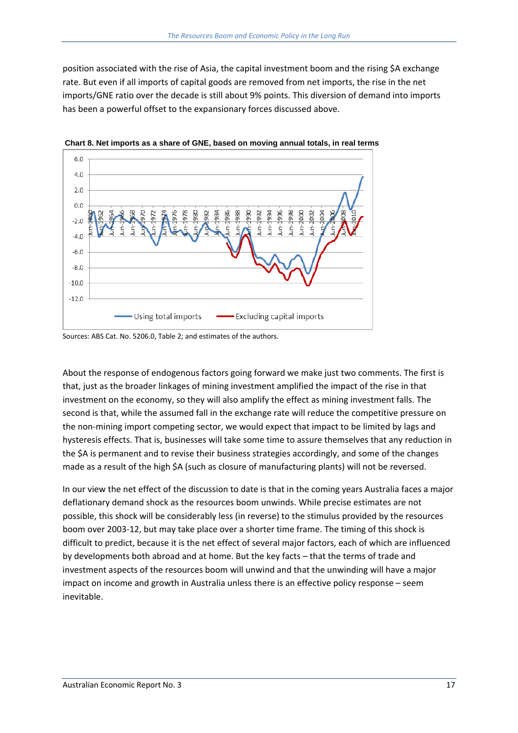position associated with the rise of Asia, the capital investment boom and the rising \$A exchange rate. But even if all imports of capital goods are removed from net imports, the rise in the net imports/GNE ratio over the decade is still about 9% points. This diversion of demand into imports has been a powerful offset to the expansionary forces discussed above.



 **Chart 8. Net imports as a share of GNE, based on moving annual totals, in real terms** 

Sources: ABS Cat. No. 5206.0, Table 2; and estimates of the authors.

About the response of endogenous factors going forward we make just two comments. The first is that, just as the broader linkages of mining investment amplified the impact of the rise in that investment on the economy, so they will also amplify the effect as mining investment falls. The second is that, while the assumed fall in the exchange rate will reduce the competitive pressure on the non-mining import competing sector, we would expect that impact to be limited by lags and hysteresis effects. That is, businesses will take some time to assure themselves that any reduction in the \$A is permanent and to revise their business strategies accordingly, and some of the changes made as a result of the high \$A (such as closure of manufacturing plants) will not be reversed.

In our view the net effect of the discussion to date is that in the coming years Australia faces a major deflationary demand shock as the resources boom unwinds. While precise estimates are not possible, this shock will be considerably less (in reverse) to the stimulus provided by the resources boom over 2003‐12, but may take place over a shorter time frame. The timing of this shock is difficult to predict, because it is the net effect of several major factors, each of which are influenced by developments both abroad and at home. But the key facts – that the terms of trade and investment aspects of the resources boom will unwind and that the unwinding will have a major impact on income and growth in Australia unless there is an effective policy response – seem inevitable.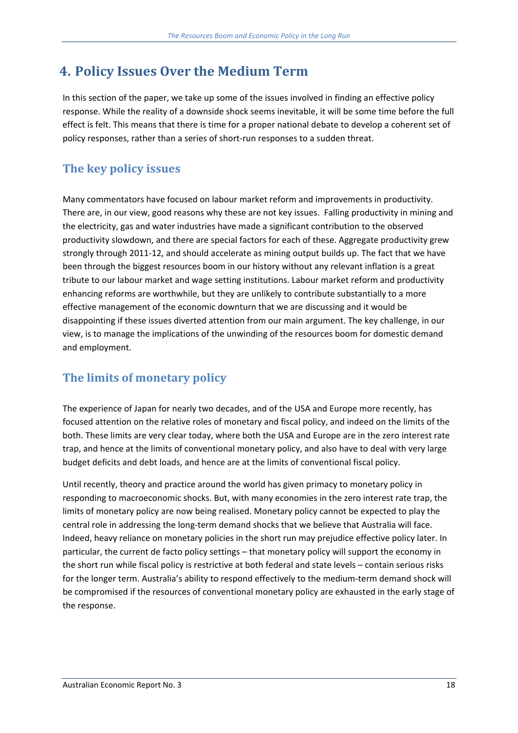# **4. Policy Issues Over the Medium Term**

In this section of the paper, we take up some of the issues involved in finding an effective policy response. While the reality of a downside shock seems inevitable, it will be some time before the full effect is felt. This means that there is time for a proper national debate to develop a coherent set of policy responses, rather than a series of short‐run responses to a sudden threat.

### **The key policy issues**

Many commentators have focused on labour market reform and improvements in productivity. There are, in our view, good reasons why these are not key issues. Falling productivity in mining and the electricity, gas and water industries have made a significant contribution to the observed productivity slowdown, and there are special factors for each of these. Aggregate productivity grew strongly through 2011‐12, and should accelerate as mining output builds up. The fact that we have been through the biggest resources boom in our history without any relevant inflation is a great tribute to our labour market and wage setting institutions. Labour market reform and productivity enhancing reforms are worthwhile, but they are unlikely to contribute substantially to a more effective management of the economic downturn that we are discussing and it would be disappointing if these issues diverted attention from our main argument. The key challenge, in our view, is to manage the implications of the unwinding of the resources boom for domestic demand and employment.

### **The limits of monetary policy**

The experience of Japan for nearly two decades, and of the USA and Europe more recently, has focused attention on the relative roles of monetary and fiscal policy, and indeed on the limits of the both. These limits are very clear today, where both the USA and Europe are in the zero interest rate trap, and hence at the limits of conventional monetary policy, and also have to deal with very large budget deficits and debt loads, and hence are at the limits of conventional fiscal policy.

Until recently, theory and practice around the world has given primacy to monetary policy in responding to macroeconomic shocks. But, with many economies in the zero interest rate trap, the limits of monetary policy are now being realised. Monetary policy cannot be expected to play the central role in addressing the long‐term demand shocks that we believe that Australia will face. Indeed, heavy reliance on monetary policies in the short run may prejudice effective policy later. In particular, the current de facto policy settings – that monetary policy will support the economy in the short run while fiscal policy is restrictive at both federal and state levels – contain serious risks for the longer term. Australia's ability to respond effectively to the medium-term demand shock will be compromised if the resources of conventional monetary policy are exhausted in the early stage of the response.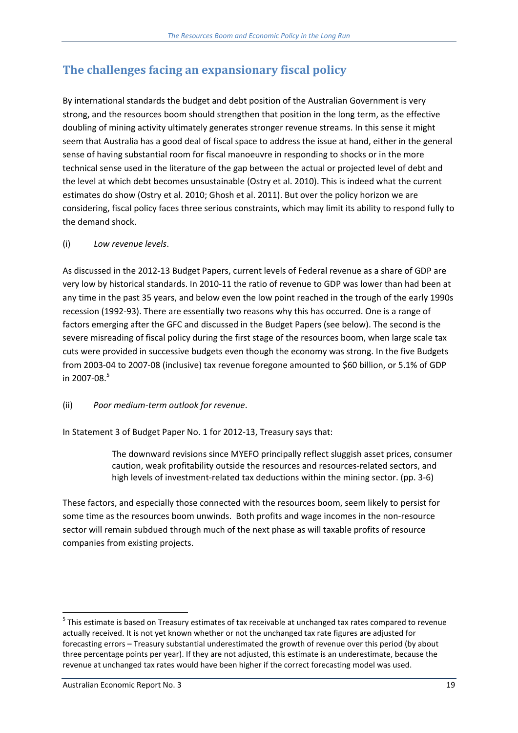## **The challenges facing an expansionary fiscal policy**

By international standards the budget and debt position of the Australian Government is very strong, and the resources boom should strengthen that position in the long term, as the effective doubling of mining activity ultimately generates stronger revenue streams. In this sense it might seem that Australia has a good deal of fiscal space to address the issue at hand, either in the general sense of having substantial room for fiscal manoeuvre in responding to shocks or in the more technical sense used in the literature of the gap between the actual or projected level of debt and the level at which debt becomes unsustainable (Ostry et al. 2010). This is indeed what the current estimates do show (Ostry et al. 2010; Ghosh et al. 2011). But over the policy horizon we are considering, fiscal policy faces three serious constraints, which may limit its ability to respond fully to the demand shock.

#### (i) *Low revenue levels*.

As discussed in the 2012‐13 Budget Papers, current levels of Federal revenue as a share of GDP are very low by historical standards. In 2010‐11 the ratio of revenue to GDP was lower than had been at any time in the past 35 years, and below even the low point reached in the trough of the early 1990s recession (1992‐93). There are essentially two reasons why this has occurred. One is a range of factors emerging after the GFC and discussed in the Budget Papers (see below). The second is the severe misreading of fiscal policy during the first stage of the resources boom, when large scale tax cuts were provided in successive budgets even though the economy was strong. In the five Budgets from 2003‐04 to 2007‐08 (inclusive) tax revenue foregone amounted to \$60 billion, or 5.1% of GDP in 2007-08. $5$ 

#### (ii) *Poor medium‐term outlook for revenue*.

In Statement 3 of Budget Paper No. 1 for 2012‐13, Treasury says that:

The downward revisions since MYEFO principally reflect sluggish asset prices, consumer caution, weak profitability outside the resources and resources‐related sectors, and high levels of investment-related tax deductions within the mining sector. (pp. 3-6)

These factors, and especially those connected with the resources boom, seem likely to persist for some time as the resources boom unwinds. Both profits and wage incomes in the non-resource sector will remain subdued through much of the next phase as will taxable profits of resource companies from existing projects.

<sup>&</sup>lt;sup>5</sup> This estimate is based on Treasury estimates of tax receivable at unchanged tax rates compared to revenue actually received. It is not yet known whether or not the unchanged tax rate figures are adjusted for forecasting errors – Treasury substantial underestimated the growth of revenue over this period (by about three percentage points per year). If they are not adjusted, this estimate is an underestimate, because the revenue at unchanged tax rates would have been higher if the correct forecasting model was used.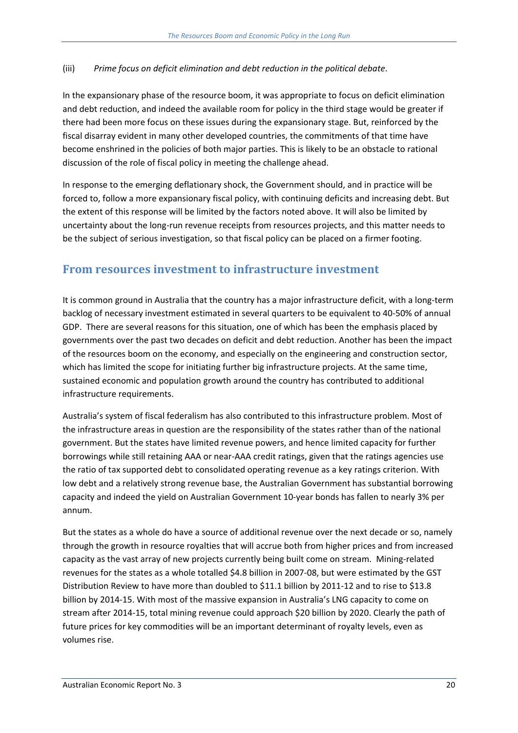#### (iii) *Prime focus on deficit elimination and debt reduction in the political debate*.

In the expansionary phase of the resource boom, it was appropriate to focus on deficit elimination and debt reduction, and indeed the available room for policy in the third stage would be greater if there had been more focus on these issues during the expansionary stage. But, reinforced by the fiscal disarray evident in many other developed countries, the commitments of that time have become enshrined in the policies of both major parties. This is likely to be an obstacle to rational discussion of the role of fiscal policy in meeting the challenge ahead.

In response to the emerging deflationary shock, the Government should, and in practice will be forced to, follow a more expansionary fiscal policy, with continuing deficits and increasing debt. But the extent of this response will be limited by the factors noted above. It will also be limited by uncertainty about the long‐run revenue receipts from resources projects, and this matter needs to be the subject of serious investigation, so that fiscal policy can be placed on a firmer footing.

#### **From resources investment to infrastructure investment**

It is common ground in Australia that the country has a major infrastructure deficit, with a long‐term backlog of necessary investment estimated in several quarters to be equivalent to 40‐50% of annual GDP. There are several reasons for this situation, one of which has been the emphasis placed by governments over the past two decades on deficit and debt reduction. Another has been the impact of the resources boom on the economy, and especially on the engineering and construction sector, which has limited the scope for initiating further big infrastructure projects. At the same time, sustained economic and population growth around the country has contributed to additional infrastructure requirements.

Australia's system of fiscal federalism has also contributed to this infrastructure problem. Most of the infrastructure areas in question are the responsibility of the states rather than of the national government. But the states have limited revenue powers, and hence limited capacity for further borrowings while still retaining AAA or near‐AAA credit ratings, given that the ratings agencies use the ratio of tax supported debt to consolidated operating revenue as a key ratings criterion. With low debt and a relatively strong revenue base, the Australian Government has substantial borrowing capacity and indeed the yield on Australian Government 10‐year bonds has fallen to nearly 3% per annum.

But the states as a whole do have a source of additional revenue over the next decade or so, namely through the growth in resource royalties that will accrue both from higher prices and from increased capacity as the vast array of new projects currently being built come on stream. Mining‐related revenues for the states as a whole totalled \$4.8 billion in 2007‐08, but were estimated by the GST Distribution Review to have more than doubled to \$11.1 billion by 2011‐12 and to rise to \$13.8 billion by 2014‐15. With most of the massive expansion in Australia's LNG capacity to come on stream after 2014‐15, total mining revenue could approach \$20 billion by 2020. Clearly the path of future prices for key commodities will be an important determinant of royalty levels, even as volumes rise.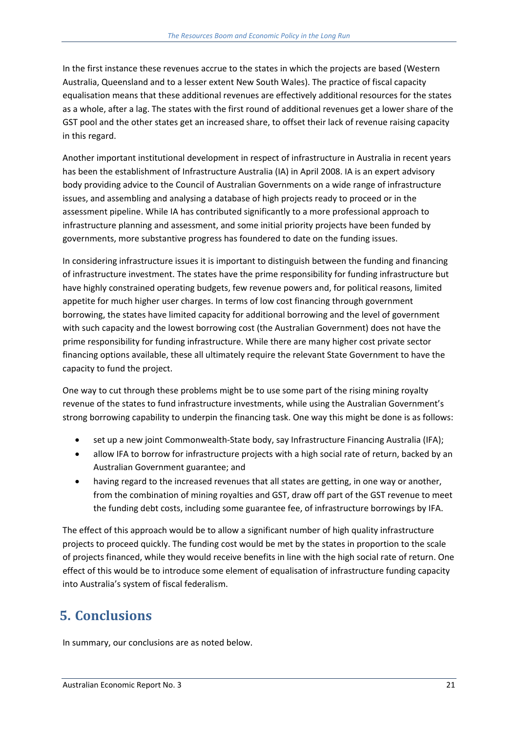In the first instance these revenues accrue to the states in which the projects are based (Western Australia, Queensland and to a lesser extent New South Wales). The practice of fiscal capacity equalisation means that these additional revenues are effectively additional resources for the states as a whole, after a lag. The states with the first round of additional revenues get a lower share of the GST pool and the other states get an increased share, to offset their lack of revenue raising capacity in this regard.

Another important institutional development in respect of infrastructure in Australia in recent years has been the establishment of Infrastructure Australia (IA) in April 2008. IA is an expert advisory body providing advice to the Council of Australian Governments on a wide range of infrastructure issues, and assembling and analysing a database of high projects ready to proceed or in the assessment pipeline. While IA has contributed significantly to a more professional approach to infrastructure planning and assessment, and some initial priority projects have been funded by governments, more substantive progress has foundered to date on the funding issues.

In considering infrastructure issues it is important to distinguish between the funding and financing of infrastructure investment. The states have the prime responsibility for funding infrastructure but have highly constrained operating budgets, few revenue powers and, for political reasons, limited appetite for much higher user charges. In terms of low cost financing through government borrowing, the states have limited capacity for additional borrowing and the level of government with such capacity and the lowest borrowing cost (the Australian Government) does not have the prime responsibility for funding infrastructure. While there are many higher cost private sector financing options available, these all ultimately require the relevant State Government to have the capacity to fund the project.

One way to cut through these problems might be to use some part of the rising mining royalty revenue of the states to fund infrastructure investments, while using the Australian Government's strong borrowing capability to underpin the financing task. One way this might be done is as follows:

- set up a new joint Commonwealth-State body, say Infrastructure Financing Australia (IFA);
- allow IFA to borrow for infrastructure projects with a high social rate of return, backed by an Australian Government guarantee; and
- having regard to the increased revenues that all states are getting, in one way or another, from the combination of mining royalties and GST, draw off part of the GST revenue to meet the funding debt costs, including some guarantee fee, of infrastructure borrowings by IFA.

The effect of this approach would be to allow a significant number of high quality infrastructure projects to proceed quickly. The funding cost would be met by the states in proportion to the scale of projects financed, while they would receive benefits in line with the high social rate of return. One effect of this would be to introduce some element of equalisation of infrastructure funding capacity into Australia's system of fiscal federalism.

# **5. Conclusions**

In summary, our conclusions are as noted below.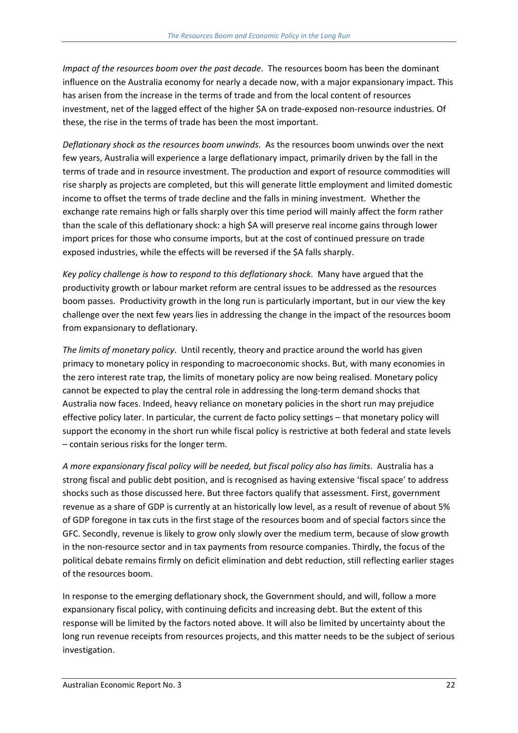*Impact of the resources boom over the past decade*. The resources boom has been the dominant influence on the Australia economy for nearly a decade now, with a major expansionary impact. This has arisen from the increase in the terms of trade and from the local content of resources investment, net of the lagged effect of the higher \$A on trade‐exposed non‐resource industries. Of these, the rise in the terms of trade has been the most important.

*Deflationary shock as the resources boom unwinds*. As the resources boom unwinds over the next few years, Australia will experience a large deflationary impact, primarily driven by the fall in the terms of trade and in resource investment. The production and export of resource commodities will rise sharply as projects are completed, but this will generate little employment and limited domestic income to offset the terms of trade decline and the falls in mining investment. Whether the exchange rate remains high or falls sharply over this time period will mainly affect the form rather than the scale of this deflationary shock: a high \$A will preserve real income gains through lower import prices for those who consume imports, but at the cost of continued pressure on trade exposed industries, while the effects will be reversed if the \$A falls sharply.

*Key policy challenge is how to respond to this deflationary shock*. Many have argued that the productivity growth or labour market reform are central issues to be addressed as the resources boom passes. Productivity growth in the long run is particularly important, but in our view the key challenge over the next few years lies in addressing the change in the impact of the resources boom from expansionary to deflationary.

*The limits of monetary policy*. Until recently, theory and practice around the world has given primacy to monetary policy in responding to macroeconomic shocks. But, with many economies in the zero interest rate trap, the limits of monetary policy are now being realised. Monetary policy cannot be expected to play the central role in addressing the long‐term demand shocks that Australia now faces. Indeed, heavy reliance on monetary policies in the short run may prejudice effective policy later. In particular, the current de facto policy settings – that monetary policy will support the economy in the short run while fiscal policy is restrictive at both federal and state levels – contain serious risks for the longer term.

*A more expansionary fiscal policy will be needed, but fiscal policy also has limits*. Australia has a strong fiscal and public debt position, and is recognised as having extensive 'fiscal space' to address shocks such as those discussed here. But three factors qualify that assessment. First, government revenue as a share of GDP is currently at an historically low level, as a result of revenue of about 5% of GDP foregone in tax cuts in the first stage of the resources boom and of special factors since the GFC. Secondly, revenue is likely to grow only slowly over the medium term, because of slow growth in the non-resource sector and in tax payments from resource companies. Thirdly, the focus of the political debate remains firmly on deficit elimination and debt reduction, still reflecting earlier stages of the resources boom.

In response to the emerging deflationary shock, the Government should, and will, follow a more expansionary fiscal policy, with continuing deficits and increasing debt. But the extent of this response will be limited by the factors noted above. It will also be limited by uncertainty about the long run revenue receipts from resources projects, and this matter needs to be the subject of serious investigation.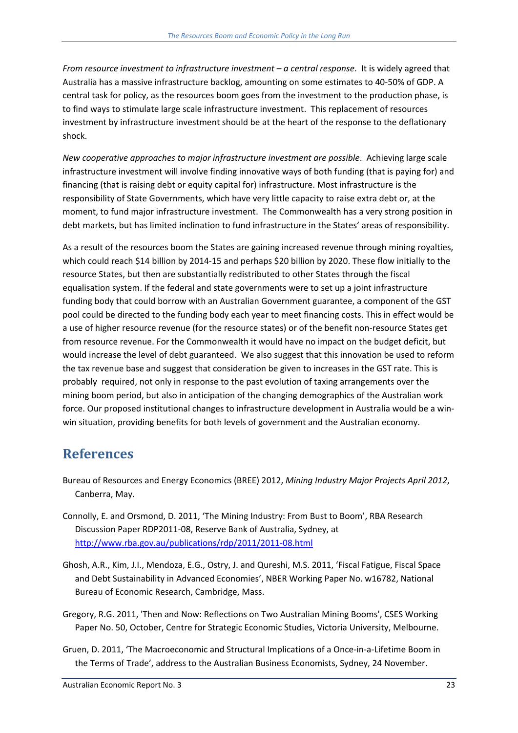*From resource investment to infrastructure investment – a central response*. It is widely agreed that Australia has a massive infrastructure backlog, amounting on some estimates to 40‐50% of GDP. A central task for policy, as the resources boom goes from the investment to the production phase, is to find ways to stimulate large scale infrastructure investment. This replacement of resources investment by infrastructure investment should be at the heart of the response to the deflationary shock.

*New cooperative approaches to major infrastructure investment are possible*. Achieving large scale infrastructure investment will involve finding innovative ways of both funding (that is paying for) and financing (that is raising debt or equity capital for) infrastructure. Most infrastructure is the responsibility of State Governments, which have very little capacity to raise extra debt or, at the moment, to fund major infrastructure investment. The Commonwealth has a very strong position in debt markets, but has limited inclination to fund infrastructure in the States' areas of responsibility.

As a result of the resources boom the States are gaining increased revenue through mining royalties, which could reach \$14 billion by 2014‐15 and perhaps \$20 billion by 2020. These flow initially to the resource States, but then are substantially redistributed to other States through the fiscal equalisation system. If the federal and state governments were to set up a joint infrastructure funding body that could borrow with an Australian Government guarantee, a component of the GST pool could be directed to the funding body each year to meet financing costs. This in effect would be a use of higher resource revenue (for the resource states) or of the benefit non-resource States get from resource revenue. For the Commonwealth it would have no impact on the budget deficit, but would increase the level of debt guaranteed. We also suggest that this innovation be used to reform the tax revenue base and suggest that consideration be given to increases in the GST rate. This is probably required, not only in response to the past evolution of taxing arrangements over the mining boom period, but also in anticipation of the changing demographics of the Australian work force. Our proposed institutional changes to infrastructure development in Australia would be a win‐ win situation, providing benefits for both levels of government and the Australian economy.

### **References**

- Bureau of Resources and Energy Economics (BREE) 2012, *Mining Industry Major Projects April 2012*, Canberra, May.
- Connolly, E. and Orsmond, D. 2011, 'The Mining Industry: From Bust to Boom', RBA Research Discussion Paper RDP2011‐08, Reserve Bank of Australia, Sydney, at http://www.rba.gov.au/publications/rdp/2011/2011‐08.html
- Ghosh, A.R., Kim, J.I., Mendoza, E.G., Ostry, J. and Qureshi, M.S. 2011, 'Fiscal Fatigue, Fiscal Space and Debt Sustainability in Advanced Economies', NBER Working Paper No. w16782, National Bureau of Economic Research, Cambridge, Mass.
- Gregory, R.G. 2011, 'Then and Now: Reflections on Two Australian Mining Booms', CSES Working Paper No. 50, October, Centre for Strategic Economic Studies, Victoria University, Melbourne.
- Gruen, D. 2011, 'The Macroeconomic and Structural Implications of a Once‐in‐a‐Lifetime Boom in the Terms of Trade', address to the Australian Business Economists, Sydney, 24 November.